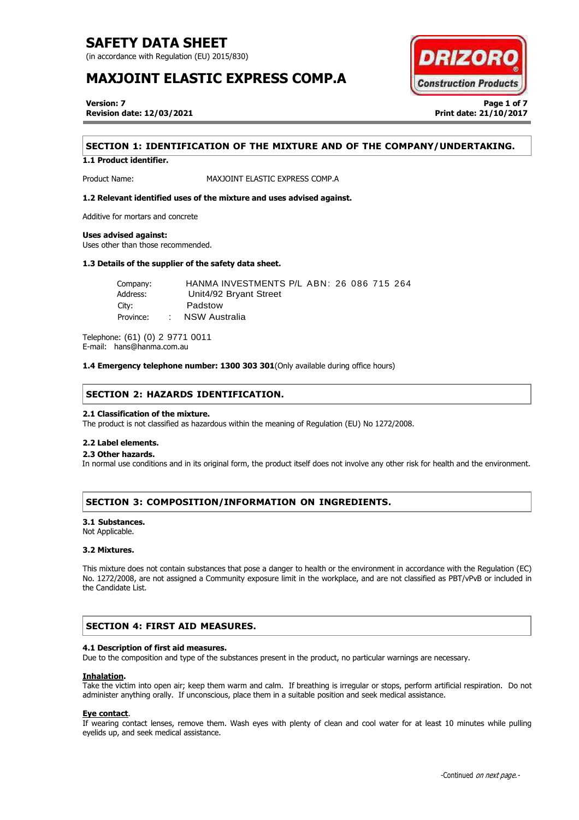(in accordance with Regulation (EU) 2015/830)

# **MAXJOINT ELASTIC EXPRESS COMP.A**



**Version: 7 Page 1 of 7 Revision date: 12/03/2021 Print date: 21/10/2017**

## **SECTION 1: IDENTIFICATION OF THE MIXTURE AND OF THE COMPANY/UNDERTAKING.**

**1.1 Product identifier.**

Product Name: MAXJOINT ELASTIC EXPRESS COMP.A

## **1.2 Relevant identified uses of the mixture and uses advised against.**

Additive for mortars and concrete

### **Uses advised against:**

Uses other than those recommended.

## **1.3 Details of the supplier of the safety data sheet.**

Company: HANMA INVESTMENTS P/L ABN: 26 086 715 264 Address: Unit4/92 Bryant Street City: Padstow Province: : NSW Australia

Telephone: (61) (0) 2 9771 0011 E-mail: hans@hanma.com.au

**1.4 Emergency telephone number: 1300 303 301**(Only available during office hours)

## **SECTION 2: HAZARDS IDENTIFICATION.**

### **2.1 Classification of the mixture.**

The product is not classified as hazardous within the meaning of Regulation (EU) No 1272/2008.

### **2.2 Label elements.**

## . **2.3 Other hazards.**

In normal use conditions and in its original form, the product itself does not involve any other risk for health and the environment.

## **SECTION 3: COMPOSITION/INFORMATION ON INGREDIENTS.**

### **3.1 Substances.**

Not Applicable.

## **3.2 Mixtures.**

This mixture does not contain substances that pose a danger to health or the environment in accordance with the Regulation (EC) No. 1272/2008, are not assigned a Community exposure limit in the workplace, and are not classified as PBT/vPvB or included in the Candidate List.

## **SECTION 4: FIRST AID MEASURES.**

## **4.1 Description of first aid measures.**

Due to the composition and type of the substances present in the product, no particular warnings are necessary.

### **Inhalation.**

Take the victim into open air; keep them warm and calm. If breathing is irregular or stops, perform artificial respiration. Do not administer anything orally. If unconscious, place them in a suitable position and seek medical assistance.

### **Eye contact**.

If wearing contact lenses, remove them. Wash eyes with plenty of clean and cool water for at least 10 minutes while pulling eyelids up, and seek medical assistance.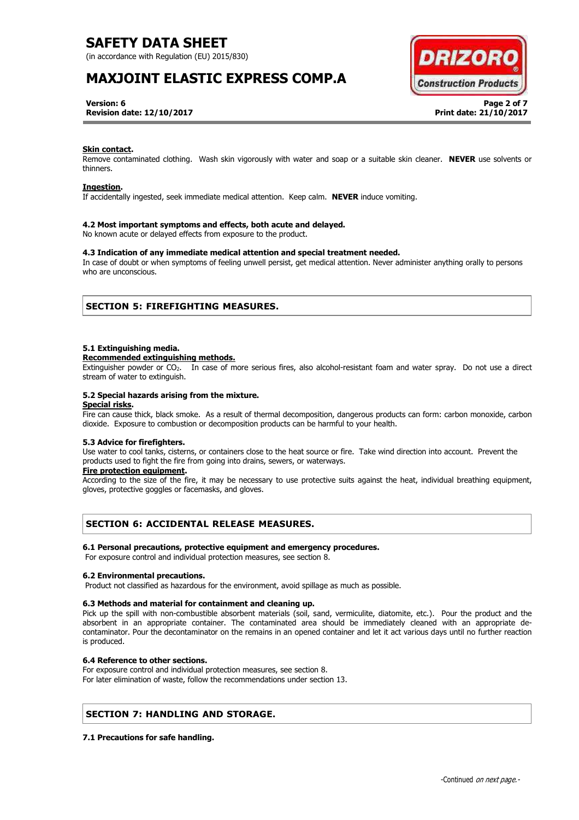(in accordance with Regulation (EU) 2015/830)

# **MAXJOINT ELASTIC EXPRESS COMP.A**



**Version: 6 Page 2 of 7 Revision date: 12/10/2017 Print date: 21/10/2017**

### **Skin contact.**

Remove contaminated clothing. Wash skin vigorously with water and soap or a suitable skin cleaner. **NEVER** use solvents or thinners.

### **Ingestion.**

If accidentally ingested, seek immediate medical attention. Keep calm. **NEVER** induce vomiting.

### **4.2 Most important symptoms and effects, both acute and delayed.**

No known acute or delayed effects from exposure to the product.

## **4.3 Indication of any immediate medical attention and special treatment needed.**

In case of doubt or when symptoms of feeling unwell persist, get medical attention. Never administer anything orally to persons who are unconscious.

## **SECTION 5: FIREFIGHTING MEASURES.**

### **5.1 Extinguishing media.**

#### **Recommended extinguishing methods.**

Extinguisher powder or CO2. In case of more serious fires, also alcohol-resistant foam and water spray. Do not use a direct stream of water to extinguish.

### **5.2 Special hazards arising from the mixture.**

## **Special risks.**

Fire can cause thick, black smoke. As a result of thermal decomposition, dangerous products can form: carbon monoxide, carbon dioxide. Exposure to combustion or decomposition products can be harmful to your health.

## **5.3 Advice for firefighters.**

Use water to cool tanks, cisterns, or containers close to the heat source or fire. Take wind direction into account. Prevent the products used to fight the fire from going into drains, sewers, or waterways.

## **Fire protection equipment.**

According to the size of the fire, it may be necessary to use protective suits against the heat, individual breathing equipment, gloves, protective goggles or facemasks, and gloves.

## **SECTION 6: ACCIDENTAL RELEASE MEASURES.**

### **6.1 Personal precautions, protective equipment and emergency procedures.**

For exposure control and individual protection measures, see section 8.

### **6.2 Environmental precautions.**

Product not classified as hazardous for the environment, avoid spillage as much as possible.

### **6.3 Methods and material for containment and cleaning up.**

Pick up the spill with non-combustible absorbent materials (soil, sand, vermiculite, diatomite, etc.). Pour the product and the absorbent in an appropriate container. The contaminated area should be immediately cleaned with an appropriate decontaminator. Pour the decontaminator on the remains in an opened container and let it act various days until no further reaction is produced.

### **6.4 Reference to other sections.**

For exposure control and individual protection measures, see section 8. For later elimination of waste, follow the recommendations under section 13.

## **SECTION 7: HANDLING AND STORAGE.**

### **7.1 Precautions for safe handling.**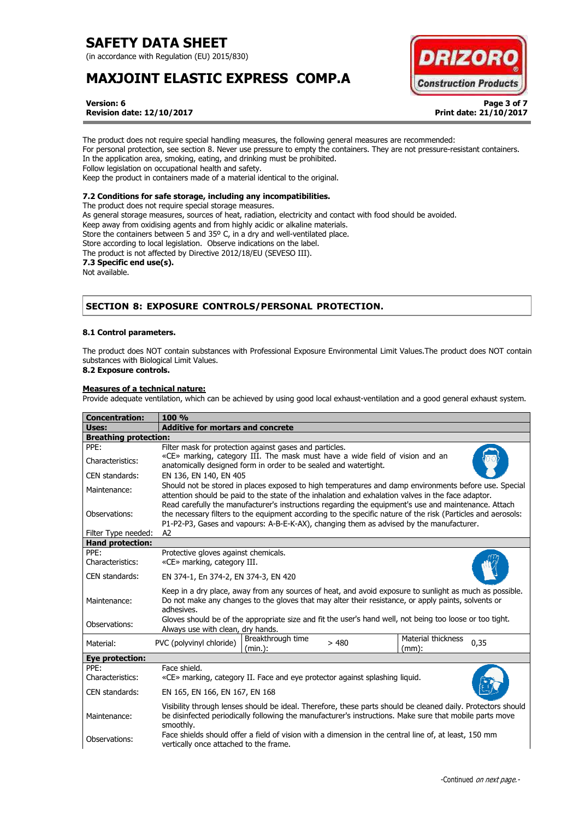(in accordance with Regulation (EU) 2015/830)

# **MAXJOINT ELASTIC EXPRESS COMP.A**



**Version: 6 Page 3 of 7 Revision date: 12/10/2017 Print date: 21/10/2017**

The product does not require special handling measures, the following general measures are recommended: For personal protection, see section 8. Never use pressure to empty the containers. They are not pressure-resistant containers. In the application area, smoking, eating, and drinking must be prohibited. Follow legislation on occupational health and safety. Keep the product in containers made of a material identical to the original.

## **7.2 Conditions for safe storage, including any incompatibilities.**

The product does not require special storage measures. As general storage measures, sources of heat, radiation, electricity and contact with food should be avoided. Keep away from oxidising agents and from highly acidic or alkaline materials. Store the containers between 5 and 35° C, in a dry and well-ventilated place. Store according to local legislation. Observe indications on the label. The product is not affected by Directive 2012/18/EU (SEVESO III). **7.3 Specific end use(s).** Not available.

# **SECTION 8: EXPOSURE CONTROLS/PERSONAL PROTECTION.**

## **8.1 Control parameters.**

The product does NOT contain substances with Professional Exposure Environmental Limit Values.The product does NOT contain substances with Biological Limit Values.

# **8.2 Exposure controls.**

## **Measures of a technical nature:**

Provide adequate ventilation, which can be achieved by using good local exhaust-ventilation and a good general exhaust system.

| <b>Concentration:</b>                          | 100 %                                                                                                                                                                                                                                                                                                               |  |
|------------------------------------------------|---------------------------------------------------------------------------------------------------------------------------------------------------------------------------------------------------------------------------------------------------------------------------------------------------------------------|--|
| Uses:                                          | <b>Additive for mortars and concrete</b>                                                                                                                                                                                                                                                                            |  |
| <b>Breathing protection:</b>                   |                                                                                                                                                                                                                                                                                                                     |  |
| PPE:<br>Characteristics:                       | Filter mask for protection against gases and particles.<br>«CE» marking, category III. The mask must have a wide field of vision and an<br>anatomically designed form in order to be sealed and watertight.                                                                                                         |  |
| CEN standards:                                 | EN 136, EN 140, EN 405                                                                                                                                                                                                                                                                                              |  |
| Maintenance:                                   | Should not be stored in places exposed to high temperatures and damp environments before use. Special<br>attention should be paid to the state of the inhalation and exhalation valves in the face adaptor.<br>Read carefully the manufacturer's instructions regarding the equipment's use and maintenance. Attach |  |
| Observations:                                  | the necessary filters to the equipment according to the specific nature of the risk (Particles and aerosols:<br>P1-P2-P3, Gases and vapours: A-B-E-K-AX), changing them as advised by the manufacturer.<br>A2                                                                                                       |  |
| Filter Type needed:<br><b>Hand protection:</b> |                                                                                                                                                                                                                                                                                                                     |  |
| PPE:                                           | Protective gloves against chemicals.                                                                                                                                                                                                                                                                                |  |
| Characteristics:                               | «CE» marking, category III.                                                                                                                                                                                                                                                                                         |  |
| CEN standards:                                 | EN 374-1, En 374-2, EN 374-3, EN 420                                                                                                                                                                                                                                                                                |  |
| Maintenance:                                   | Keep in a dry place, away from any sources of heat, and avoid exposure to sunlight as much as possible.<br>Do not make any changes to the gloves that may alter their resistance, or apply paints, solvents or<br>adhesives.                                                                                        |  |
| Observations:                                  | Gloves should be of the appropriate size and fit the user's hand well, not being too loose or too tight.<br>Always use with clean, dry hands.                                                                                                                                                                       |  |
| Material:                                      | Material thickness<br>Breakthrough time<br>PVC (polyvinyl chloride)<br>0,35<br>>480<br>(min.):<br>$(mm)$ :                                                                                                                                                                                                          |  |
| <b>Eye protection:</b>                         |                                                                                                                                                                                                                                                                                                                     |  |
| PPF:<br>Characteristics:                       | Face shield.<br>«CE» marking, category II. Face and eye protector against splashing liquid.                                                                                                                                                                                                                         |  |
| CEN standards:                                 | EN 165, EN 166, EN 167, EN 168                                                                                                                                                                                                                                                                                      |  |
| Maintenance:                                   | Visibility through lenses should be ideal. Therefore, these parts should be cleaned daily. Protectors should<br>be disinfected periodically following the manufacturer's instructions. Make sure that mobile parts move<br>smoothly.                                                                                |  |
| Observations:                                  | Face shields should offer a field of vision with a dimension in the central line of, at least, 150 mm<br>vertically once attached to the frame.                                                                                                                                                                     |  |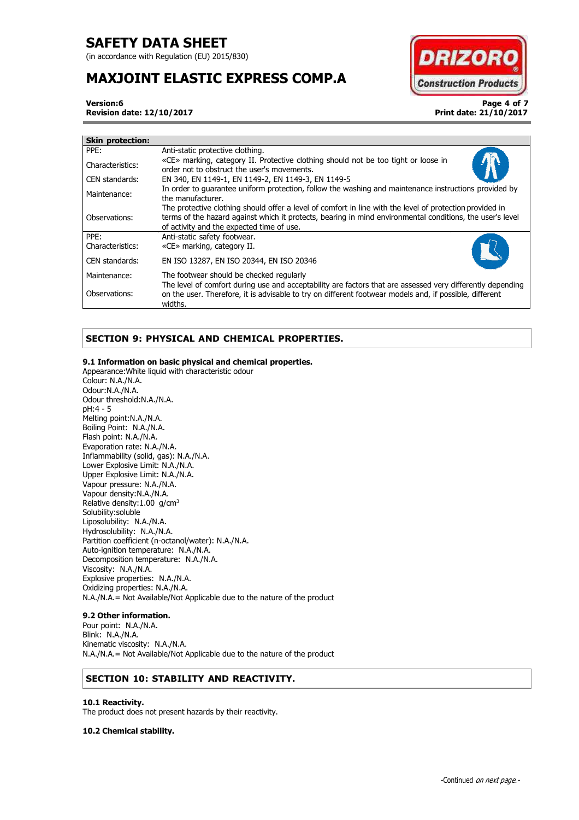(in accordance with Regulation (EU) 2015/830)

# **MAXJOINT ELASTIC EXPRESS COMP.A**



**Version:6 Page 4 of 7 Revision date: 12/10/2017 Print date: 21/10/2017**

| <b>Skin protection:</b> |                                                                                                                                                                                                                                                                    |
|-------------------------|--------------------------------------------------------------------------------------------------------------------------------------------------------------------------------------------------------------------------------------------------------------------|
| PPE:                    | Anti-static protective clothing.                                                                                                                                                                                                                                   |
| Characteristics:        | «CE» marking, category II. Protective clothing should not be too tight or loose in<br>order not to obstruct the user's movements.                                                                                                                                  |
| CEN standards:          | EN 340, EN 1149-1, EN 1149-2, EN 1149-3, EN 1149-5                                                                                                                                                                                                                 |
| Maintenance:            | In order to quarantee uniform protection, follow the washing and maintenance instructions provided by<br>the manufacturer.                                                                                                                                         |
| Observations:           | The protective clothing should offer a level of comfort in line with the level of protection provided in<br>terms of the hazard against which it protects, bearing in mind environmental conditions, the user's level<br>of activity and the expected time of use. |
| PPE:                    | Anti-static safety footwear.                                                                                                                                                                                                                                       |
| Characteristics:        | «CE» marking, category II.                                                                                                                                                                                                                                         |
| CEN standards:          | EN ISO 13287, EN ISO 20344, EN ISO 20346                                                                                                                                                                                                                           |
| Maintenance:            | The footwear should be checked regularly                                                                                                                                                                                                                           |
| Observations:           | The level of comfort during use and acceptability are factors that are assessed very differently depending<br>on the user. Therefore, it is advisable to try on different footwear models and, if possible, different<br>widths.                                   |

# **SECTION 9: PHYSICAL AND CHEMICAL PROPERTIES.**

## **9.1 Information on basic physical and chemical properties.**

Appearance:White liquid with characteristic odour Colour: N.A./N.A. Odour:N.A./N.A. Odour threshold:N.A./N.A. pH:4 - 5 Melting point:N.A./N.A. Boiling Point: N.A./N.A. Flash point: N.A./N.A. Evaporation rate: N.A./N.A. Inflammability (solid, gas): N.A./N.A. Lower Explosive Limit: N.A./N.A. Upper Explosive Limit: N.A./N.A. Vapour pressure: N.A./N.A. Vapour density:N.A./N.A. Relative density:1.00 g/cm<sup>3</sup> Solubility:soluble Liposolubility: N.A./N.A. Hydrosolubility: N.A./N.A. Partition coefficient (n-octanol/water): N.A./N.A. Auto-ignition temperature: N.A./N.A. Decomposition temperature: N.A./N.A. Viscosity: N.A./N.A. Explosive properties: N.A./N.A. Oxidizing properties: N.A./N.A. N.A./N.A.= Not Available/Not Applicable due to the nature of the product

## **9.2 Other information.**

Pour point: N.A./N.A. Blink: N.A./N.A. Kinematic viscosity: N.A./N.A. N.A./N.A.= Not Available/Not Applicable due to the nature of the product

# **SECTION 10: STABILITY AND REACTIVITY.**

## **10.1 Reactivity.**

The product does not present hazards by their reactivity.

**10.2 Chemical stability.**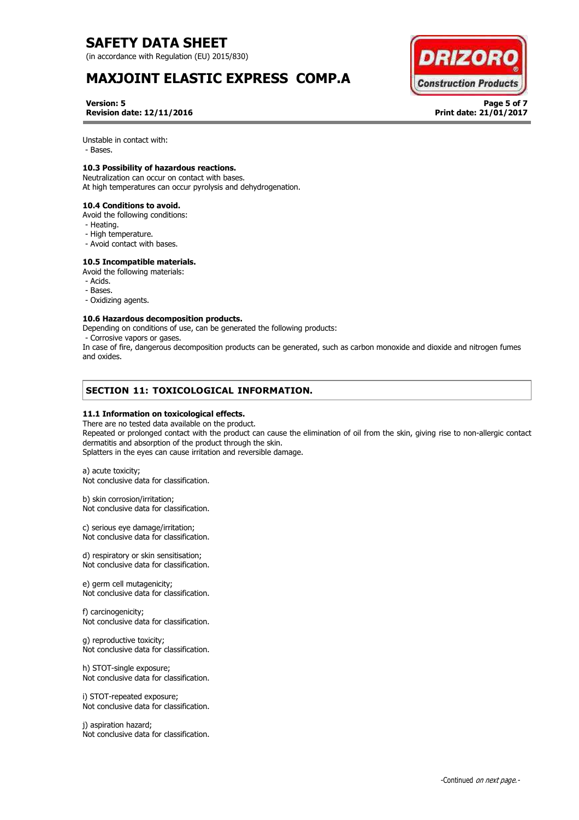(in accordance with Regulation (EU) 2015/830)

# **MAXJOINT ELASTIC EXPRESS COMP.A**



**Version: 5 Page 5 of 7 Revision date: 12/11/2016 Print date: 21/01/2017**

Unstable in contact with:

- Bases.

## **10.3 Possibility of hazardous reactions.**

Neutralization can occur on contact with bases. At high temperatures can occur pyrolysis and dehydrogenation.

**10.4 Conditions to avoid.** 

- Avoid the following conditions:
- Heating.
- High temperature.
- Avoid contact with bases.

## **10.5 Incompatible materials.**

Avoid the following materials:

- Acids.
- Bases.
- Oxidizing agents.

## **10.6 Hazardous decomposition products.**

Depending on conditions of use, can be generated the following products:

- Corrosive vapors or gases.

In case of fire, dangerous decomposition products can be generated, such as carbon monoxide and dioxide and nitrogen fumes and oxides.

# **SECTION 11: TOXICOLOGICAL INFORMATION.**

## **11.1 Information on toxicological effects.**

There are no tested data available on the product. Repeated or prolonged contact with the product can cause the elimination of oil from the skin, giving rise to non-allergic contact dermatitis and absorption of the product through the skin. Splatters in the eyes can cause irritation and reversible damage.

a) acute toxicity; Not conclusive data for classification.

b) skin corrosion/irritation; Not conclusive data for classification.

c) serious eye damage/irritation; Not conclusive data for classification.

d) respiratory or skin sensitisation; Not conclusive data for classification.

e) germ cell mutagenicity; Not conclusive data for classification.

f) carcinogenicity; Not conclusive data for classification.

g) reproductive toxicity; Not conclusive data for classification.

h) STOT-single exposure; Not conclusive data for classification.

i) STOT-repeated exposure; Not conclusive data for classification.

j) aspiration hazard; Not conclusive data for classification.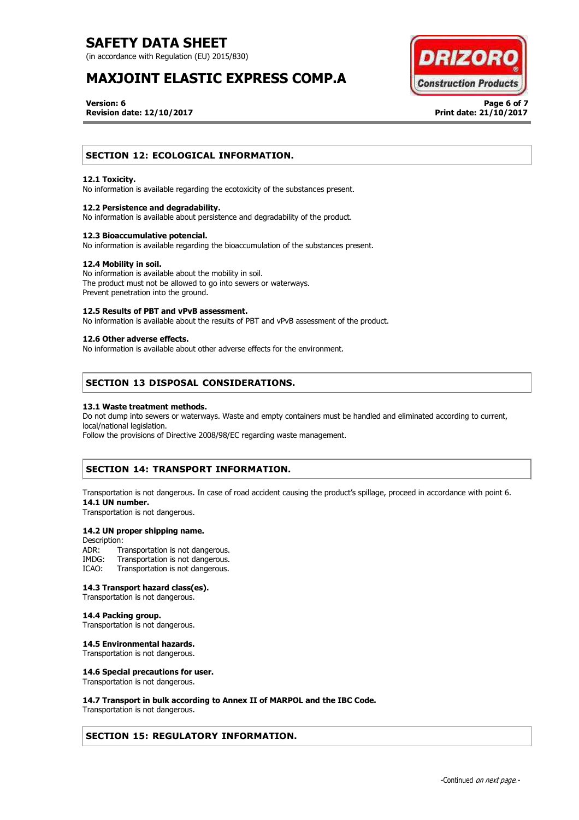(in accordance with Regulation (EU) 2015/830)

# **MAXJOINT ELASTIC EXPRESS COMP.A**



**Version: 6 Page 6 of 7 Revision date: 12/10/2017 Print date: 21/10/2017**

## **SECTION 12: ECOLOGICAL INFORMATION.**

## **12.1 Toxicity.**

No information is available regarding the ecotoxicity of the substances present.

### **12.2 Persistence and degradability.**

No information is available about persistence and degradability of the product.

### **12.3 Bioaccumulative potencial.**

No information is available regarding the bioaccumulation of the substances present.

#### **12.4 Mobility in soil.**

No information is available about the mobility in soil. The product must not be allowed to go into sewers or waterways. Prevent penetration into the ground.

#### **12.5 Results of PBT and vPvB assessment.**

No information is available about the results of PBT and vPvB assessment of the product.

## **12.6 Other adverse effects.**

No information is available about other adverse effects for the environment.

## **SECTION 13 DISPOSAL CONSIDERATIONS.**

#### **13.1 Waste treatment methods.**

Do not dump into sewers or waterways. Waste and empty containers must be handled and eliminated according to current, local/national legislation.

Follow the provisions of Directive 2008/98/EC regarding waste management.

## **SECTION 14: TRANSPORT INFORMATION.**

Transportation is not dangerous. In case of road accident causing the product's spillage, proceed in accordance with point 6. **14.1 UN number.**

Transportation is not dangerous.

## **14.2 UN proper shipping name.**

Description:<br>ADR: Tr ADR: Transportation is not dangerous.<br>IMDG: Transportation is not dangerous. IMDG: Transportation is not dangerous.<br>ICAO: Transportation is not dangerous. Transportation is not dangerous.

#### **14.3 Transport hazard class(es).**

Transportation is not dangerous.

## **14.4 Packing group.**

Transportation is not dangerous.

## **14.5 Environmental hazards.**

Transportation is not dangerous.

#### **14.6 Special precautions for user.**

Transportation is not dangerous.

### **14.7 Transport in bulk according to Annex II of MARPOL and the IBC Code.**

Transportation is not dangerous.

## **SECTION 15: REGULATORY INFORMATION.**